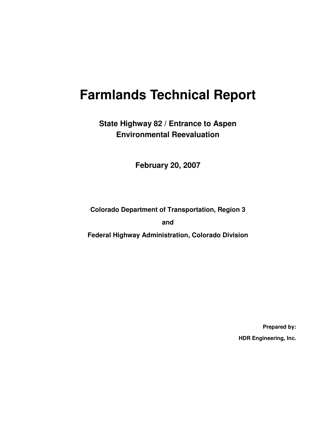# **Farmlands Technical Report**

**State Highway 82 / Entrance to Aspen Environmental Reevaluation** 

**February 20, 2007**

**Colorado Department of Transportation, Region 3** 

**and** 

**Federal Highway Administration, Colorado Division** 

**Prepared by: HDR Engineering, Inc.**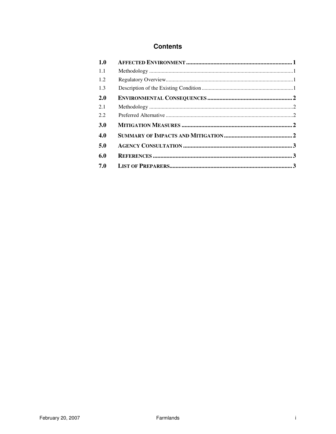#### **Contents**

| 1.0        |  |
|------------|--|
| 1.1        |  |
| 1.2        |  |
| 1.3        |  |
| <b>2.0</b> |  |
| 2.1        |  |
| 2.2        |  |
| 3.0        |  |
| 4.0        |  |
| 5.0        |  |
| 6.0        |  |
| 7.0        |  |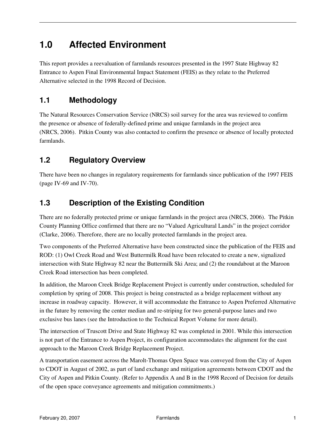# **1.0 Affected Environment**

This report provides a reevaluation of farmlands resources presented in the 1997 State Highway 82 Entrance to Aspen Final Environmental Impact Statement (FEIS) as they relate to the Preferred Alternative selected in the 1998 Record of Decision.

### **1.1 Methodology**

The Natural Resources Conservation Service (NRCS) soil survey for the area was reviewed to confirm the presence or absence of federally-defined prime and unique farmlands in the project area (NRCS, 2006). Pitkin County was also contacted to confirm the presence or absence of locally protected farmlands.

### **1.2 Regulatory Overview**

There have been no changes in regulatory requirements for farmlands since publication of the 1997 FEIS (page IV-69 and IV-70).

### **1.3 Description of the Existing Condition**

There are no federally protected prime or unique farmlands in the project area (NRCS, 2006). The Pitkin County Planning Office confirmed that there are no "Valued Agricultural Lands" in the project corridor (Clarke, 2006). Therefore, there are no locally protected farmlands in the project area.

Two components of the Preferred Alternative have been constructed since the publication of the FEIS and ROD: (1) Owl Creek Road and West Buttermilk Road have been relocated to create a new, signalized intersection with State Highway 82 near the Buttermilk Ski Area; and (2) the roundabout at the Maroon Creek Road intersection has been completed.

In addition, the Maroon Creek Bridge Replacement Project is currently under construction, scheduled for completion by spring of 2008. This project is being constructed as a bridge replacement without any increase in roadway capacity. However, it will accommodate the Entrance to Aspen Preferred Alternative in the future by removing the center median and re-striping for two general-purpose lanes and two exclusive bus lanes (see the Introduction to the Technical Report Volume for more detail).

The intersection of Truscott Drive and State Highway 82 was completed in 2001. While this intersection is not part of the Entrance to Aspen Project, its configuration accommodates the alignment for the east approach to the Maroon Creek Bridge Replacement Project.

A transportation easement across the Marolt-Thomas Open Space was conveyed from the City of Aspen to CDOT in August of 2002, as part of land exchange and mitigation agreements between CDOT and the City of Aspen and Pitkin County. (Refer to Appendix A and B in the 1998 Record of Decision for details of the open space conveyance agreements and mitigation commitments.)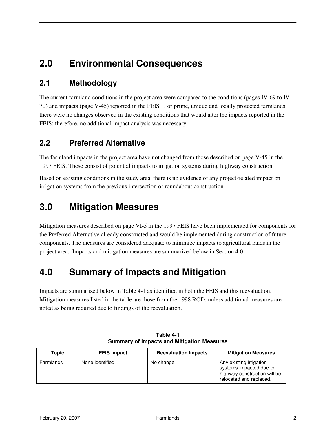# **2.0 Environmental Consequences**

#### **2.1 Methodology**

The current farmland conditions in the project area were compared to the conditions (pages IV-69 to IV-70) and impacts (page V-45) reported in the FEIS. For prime, unique and locally protected farmlands, there were no changes observed in the existing conditions that would alter the impacts reported in the FEIS; therefore, no additional impact analysis was necessary.

#### **2.2 Preferred Alternative**

The farmland impacts in the project area have not changed from those described on page V-45 in the 1997 FEIS. These consist of potential impacts to irrigation systems during highway construction.

Based on existing conditions in the study area, there is no evidence of any project-related impact on irrigation systems from the previous intersection or roundabout construction.

### **3.0 Mitigation Measures**

Mitigation measures described on page VI-5 in the 1997 FEIS have been implemented for components for the Preferred Alternative already constructed and would be implemented during construction of future components. The measures are considered adequate to minimize impacts to agricultural lands in the project area. Impacts and mitigation measures are summarized below in Section 4.0

### **4.0 Summary of Impacts and Mitigation**

Impacts are summarized below in Table 4-1 as identified in both the FEIS and this reevaluation. Mitigation measures listed in the table are those from the 1998 ROD, unless additional measures are noted as being required due to findings of the reevaluation.

| Topic     | <b>FEIS Impact</b> | <b>Reevaluation Impacts</b> | <b>Mitigation Measures</b>                                                                                    |
|-----------|--------------------|-----------------------------|---------------------------------------------------------------------------------------------------------------|
| Farmlands | None identified    | No change                   | Any existing irrigation<br>systems impacted due to<br>highway construction will be<br>relocated and replaced. |

| Table 4-1 |                                            |  |  |  |  |  |  |
|-----------|--------------------------------------------|--|--|--|--|--|--|
|           | Summary of Impacts and Mitigation Measures |  |  |  |  |  |  |